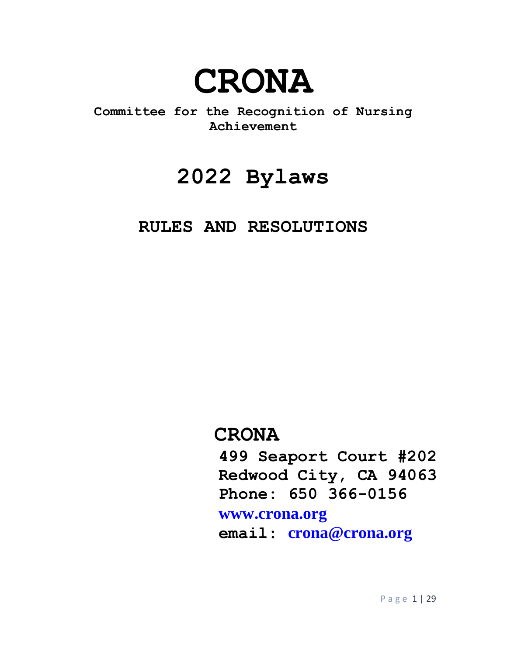

**Committee for the Recognition of Nursing Achievement**

# **2022 Bylaws**

# **RULES AND RESOLUTIONS**

# **CRONA**

 **499 Seaport Court #202 Redwood City, CA 94063 Phone: 650 366-0156**

# **[www.crona.org](http://www.crona.org/)**

 **email: [crona@crona.org](mailto:crona@crona.org)**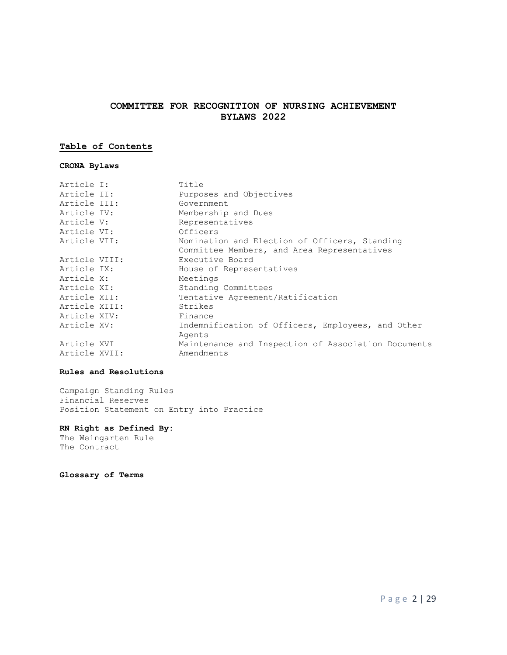# **COMMITTEE FOR RECOGNITION OF NURSING ACHIEVEMENT BYLAWS 2022**

# **Table of Contents**

# **CRONA Bylaws**

| Article I:    | Title                                               |
|---------------|-----------------------------------------------------|
| Article II:   | Purposes and Objectives                             |
| Article III:  | Government                                          |
| Article IV:   | Membership and Dues                                 |
| Article V:    | Representatives                                     |
| Article VI:   | Officers                                            |
| Article VII:  | Nomination and Election of Officers, Standing       |
|               | Committee Members, and Area Representatives         |
| Article VIII: | Executive Board                                     |
| Article IX:   | House of Representatives                            |
| Article X:    | Meetings                                            |
| Article XI:   | Standing Committees                                 |
| Article XII:  | Tentative Agreement/Ratification                    |
| Article XIII: | Strikes                                             |
| Article XIV:  | Finance                                             |
| Article XV:   | Indemnification of Officers, Employees, and Other   |
|               | Agents                                              |
| Article XVI   | Maintenance and Inspection of Association Documents |
| Article XVII: | Amendments                                          |

# **Rules and Resolutions**

Campaign Standing Rules Financial Reserves Position Statement on Entry into Practice

# **RN Right as Defined By:**

The Weingarten Rule The Contract

**Glossary of Terms**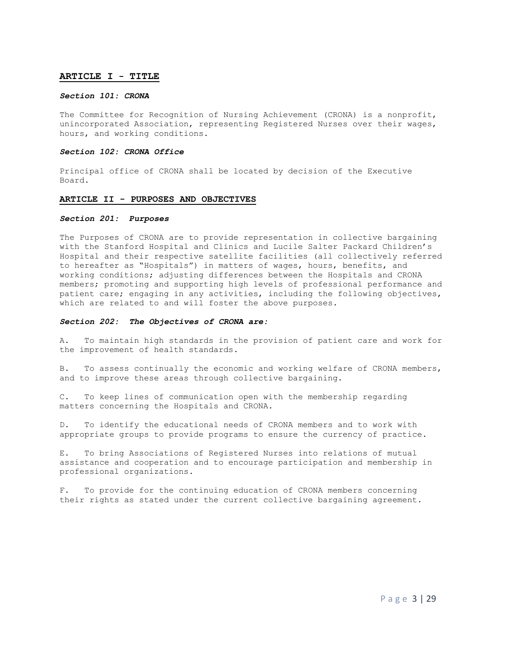#### **ARTICLE I - TITLE**

#### *Section 101: CRONA*

The Committee for Recognition of Nursing Achievement (CRONA) is a nonprofit, unincorporated Association, representing Registered Nurses over their wages, hours, and working conditions.

#### *Section 102: CRONA Office*

Principal office of CRONA shall be located by decision of the Executive Board.

#### **ARTICLE II - PURPOSES AND OBJECTIVES**

#### *Section 201: Purposes*

The Purposes of CRONA are to provide representation in collective bargaining with the Stanford Hospital and Clinics and Lucile Salter Packard Children's Hospital and their respective satellite facilities (all collectively referred to hereafter as "Hospitals") in matters of wages, hours, benefits, and working conditions; adjusting differences between the Hospitals and CRONA members; promoting and supporting high levels of professional performance and patient care; engaging in any activities, including the following objectives, which are related to and will foster the above purposes.

#### *Section 202: The Objectives of CRONA are:*

A. To maintain high standards in the provision of patient care and work for the improvement of health standards.

B. To assess continually the economic and working welfare of CRONA members, and to improve these areas through collective bargaining.

C. To keep lines of communication open with the membership regarding matters concerning the Hospitals and CRONA.

D. To identify the educational needs of CRONA members and to work with appropriate groups to provide programs to ensure the currency of practice.

E. To bring Associations of Registered Nurses into relations of mutual assistance and cooperation and to encourage participation and membership in professional organizations.

F. To provide for the continuing education of CRONA members concerning their rights as stated under the current collective bargaining agreement.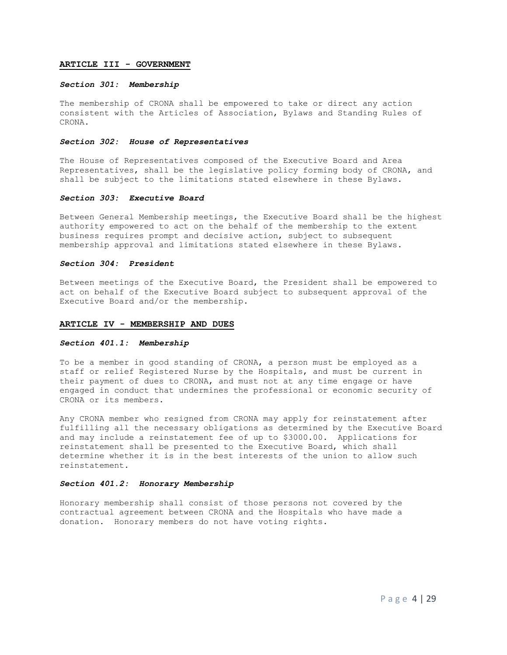#### **ARTICLE III - GOVERNMENT**

#### *Section 301: Membership*

The membership of CRONA shall be empowered to take or direct any action consistent with the Articles of Association, Bylaws and Standing Rules of CRONA.

#### *Section 302: House of Representatives*

The House of Representatives composed of the Executive Board and Area Representatives, shall be the legislative policy forming body of CRONA, and shall be subject to the limitations stated elsewhere in these Bylaws.

#### *Section 303: Executive Board*

Between General Membership meetings, the Executive Board shall be the highest authority empowered to act on the behalf of the membership to the extent business requires prompt and decisive action, subject to subsequent membership approval and limitations stated elsewhere in these Bylaws.

#### *Section 304: President*

Between meetings of the Executive Board, the President shall be empowered to act on behalf of the Executive Board subject to subsequent approval of the Executive Board and/or the membership.

#### **ARTICLE IV - MEMBERSHIP AND DUES**

#### *Section 401.1: Membership*

To be a member in good standing of CRONA, a person must be employed as a staff or relief Registered Nurse by the Hospitals, and must be current in their payment of dues to CRONA, and must not at any time engage or have engaged in conduct that undermines the professional or economic security of CRONA or its members.

Any CRONA member who resigned from CRONA may apply for reinstatement after fulfilling all the necessary obligations as determined by the Executive Board and may include a reinstatement fee of up to \$3000.00. Applications for reinstatement shall be presented to the Executive Board, which shall determine whether it is in the best interests of the union to allow such reinstatement.

# *Section 401.2: Honorary Membership*

Honorary membership shall consist of those persons not covered by the contractual agreement between CRONA and the Hospitals who have made a donation. Honorary members do not have voting rights.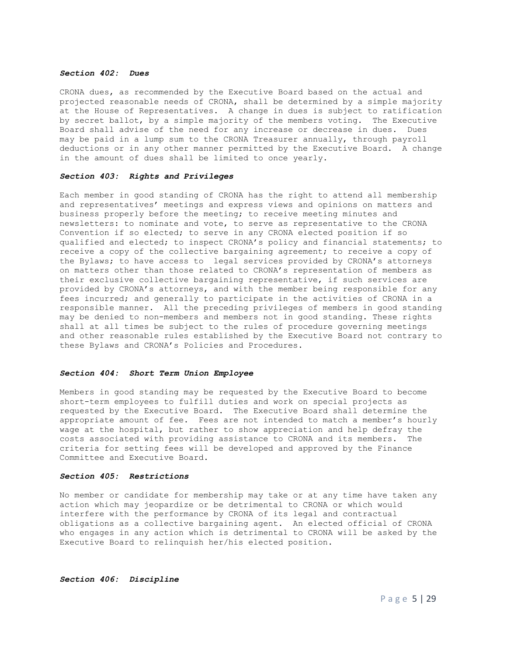#### *Section 402: Dues*

CRONA dues, as recommended by the Executive Board based on the actual and projected reasonable needs of CRONA, shall be determined by a simple majority at the House of Representatives. A change in dues is subject to ratification by secret ballot, by a simple majority of the members voting. The Executive Board shall advise of the need for any increase or decrease in dues. Dues may be paid in a lump sum to the CRONA Treasurer annually, through payroll deductions or in any other manner permitted by the Executive Board. A change in the amount of dues shall be limited to once yearly.

#### *Section 403: Rights and Privileges*

Each member in good standing of CRONA has the right to attend all membership and representatives' meetings and express views and opinions on matters and business properly before the meeting; to receive meeting minutes and newsletters: to nominate and vote, to serve as representative to the CRONA Convention if so elected; to serve in any CRONA elected position if so qualified and elected; to inspect CRONA's policy and financial statements; to receive a copy of the collective bargaining agreement; to receive a copy of the Bylaws; to have access to legal services provided by CRONA's attorneys on matters other than those related to CRONA's representation of members as their exclusive collective bargaining representative, if such services are provided by CRONA's attorneys, and with the member being responsible for any fees incurred; and generally to participate in the activities of CRONA in a responsible manner. All the preceding privileges of members in good standing may be denied to non-members and members not in good standing. These rights shall at all times be subject to the rules of procedure governing meetings and other reasonable rules established by the Executive Board not contrary to these Bylaws and CRONA's Policies and Procedures.

#### *Section 404: Short Term Union Employee*

Members in good standing may be requested by the Executive Board to become short-term employees to fulfill duties and work on special projects as requested by the Executive Board. The Executive Board shall determine the appropriate amount of fee. Fees are not intended to match a member's hourly wage at the hospital, but rather to show appreciation and help defray the costs associated with providing assistance to CRONA and its members. The criteria for setting fees will be developed and approved by the Finance Committee and Executive Board.

#### *Section 405: Restrictions*

No member or candidate for membership may take or at any time have taken any action which may jeopardize or be detrimental to CRONA or which would interfere with the performance by CRONA of its legal and contractual obligations as a collective bargaining agent. An elected official of CRONA who engages in any action which is detrimental to CRONA will be asked by the Executive Board to relinquish her/his elected position.

### *Section 406: Discipline*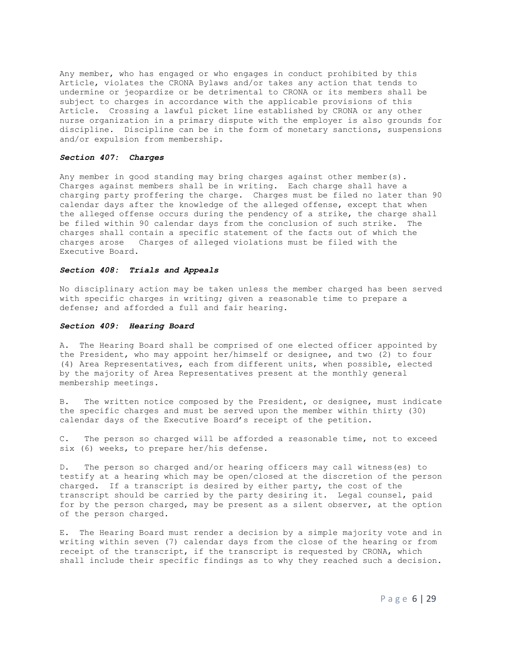Any member, who has engaged or who engages in conduct prohibited by this Article, violates the CRONA Bylaws and/or takes any action that tends to undermine or jeopardize or be detrimental to CRONA or its members shall be subject to charges in accordance with the applicable provisions of this Article. Crossing a lawful picket line established by CRONA or any other nurse organization in a primary dispute with the employer is also grounds for discipline. Discipline can be in the form of monetary sanctions, suspensions and/or expulsion from membership.

# *Section 407: Charges*

Any member in good standing may bring charges against other member(s). Charges against members shall be in writing. Each charge shall have a charging party proffering the charge. Charges must be filed no later than 90 calendar days after the knowledge of the alleged offense, except that when the alleged offense occurs during the pendency of a strike, the charge shall be filed within 90 calendar days from the conclusion of such strike. The charges shall contain a specific statement of the facts out of which the charges arose Charges of alleged violations must be filed with the Executive Board.

# *Section 408: Trials and Appeals*

No disciplinary action may be taken unless the member charged has been served with specific charges in writing; given a reasonable time to prepare a defense; and afforded a full and fair hearing.

#### *Section 409: Hearing Board*

A. The Hearing Board shall be comprised of one elected officer appointed by the President, who may appoint her/himself or designee, and two (2) to four (4) Area Representatives, each from different units, when possible, elected by the majority of Area Representatives present at the monthly general membership meetings.

B. The written notice composed by the President, or designee, must indicate the specific charges and must be served upon the member within thirty (30) calendar days of the Executive Board's receipt of the petition.

C. The person so charged will be afforded a reasonable time, not to exceed six (6) weeks, to prepare her/his defense.

D. The person so charged and/or hearing officers may call witness(es) to testify at a hearing which may be open/closed at the discretion of the person charged. If a transcript is desired by either party, the cost of the transcript should be carried by the party desiring it. Legal counsel, paid for by the person charged, may be present as a silent observer, at the option of the person charged.

E. The Hearing Board must render a decision by a simple majority vote and in writing within seven (7) calendar days from the close of the hearing or from receipt of the transcript, if the transcript is requested by CRONA, which shall include their specific findings as to why they reached such a decision.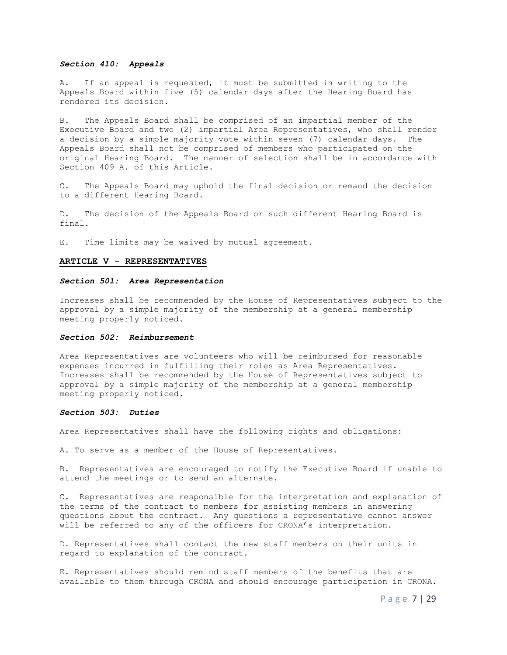#### *Section 410: Appeals*

A. If an appeal is requested, it must be submitted in writing to the Appeals Board within five (5) calendar days after the Hearing Board has rendered its decision.

B. The Appeals Board shall be comprised of an impartial member of the Executive Board and two (2) impartial Area Representatives, who shall render a decision by a simple majority vote within seven (7) calendar days. The Appeals Board shall not be comprised of members who participated on the original Hearing Board. The manner of selection shall be in accordance with Section 409 A. of this Article.

C. The Appeals Board may uphold the final decision or remand the decision to a different Hearing Board.

D. The decision of the Appeals Board or such different Hearing Board is final.

E. Time limits may be waived by mutual agreement.

#### **ARTICLE V - REPRESENTATIVES**

#### *Section 501: Area Representation*

Increases shall be recommended by the House of Representatives subject to the approval by a simple majority of the membership at a general membership meeting properly noticed.

#### *Section 502: Reimbursement*

Area Representatives are volunteers who will be reimbursed for reasonable expenses incurred in fulfilling their roles as Area Representatives. Increases shall be recommended by the House of Representatives subject to approval by a simple majority of the membership at a general membership meeting properly noticed.

#### *Section 503: Duties*

Area Representatives shall have the following rights and obligations:

A. To serve as a member of the House of Representatives.

B. Representatives are encouraged to notify the Executive Board if unable to attend the meetings or to send an alternate.

C. Representatives are responsible for the interpretation and explanation of the terms of the contract to members for assisting members in answering questions about the contract. Any questions a representative cannot answer will be referred to any of the officers for CRONA's interpretation.

D. Representatives shall contact the new staff members on their units in regard to explanation of the contract.

E. Representatives should remind staff members of the benefits that are available to them through CRONA and should encourage participation in CRONA.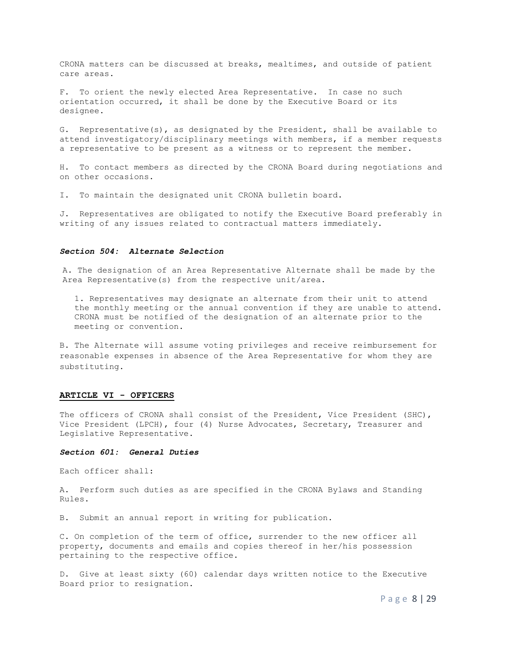CRONA matters can be discussed at breaks, mealtimes, and outside of patient care areas.

F. To orient the newly elected Area Representative. In case no such orientation occurred, it shall be done by the Executive Board or its designee.

G. Representative(s), as designated by the President, shall be available to attend investigatory/disciplinary meetings with members, if a member requests a representative to be present as a witness or to represent the member.

H. To contact members as directed by the CRONA Board during negotiations and on other occasions.

I. To maintain the designated unit CRONA bulletin board.

J. Representatives are obligated to notify the Executive Board preferably in writing of any issues related to contractual matters immediately.

#### *Section 504: Alternate Selection*

A. The designation of an Area Representative Alternate shall be made by the Area Representative(s) from the respective unit/area.

1. Representatives may designate an alternate from their unit to attend the monthly meeting or the annual convention if they are unable to attend. CRONA must be notified of the designation of an alternate prior to the meeting or convention.

B. The Alternate will assume voting privileges and receive reimbursement for reasonable expenses in absence of the Area Representative for whom they are substituting.

#### **ARTICLE VI - OFFICERS**

The officers of CRONA shall consist of the President, Vice President (SHC), Vice President (LPCH), four (4) Nurse Advocates, Secretary, Treasurer and Legislative Representative.

#### *Section 601: General Duties*

Each officer shall:

A. Perform such duties as are specified in the CRONA Bylaws and Standing Rules.

B. Submit an annual report in writing for publication.

C. On completion of the term of office, surrender to the new officer all property, documents and emails and copies thereof in her/his possession pertaining to the respective office.

D. Give at least sixty (60) calendar days written notice to the Executive Board prior to resignation.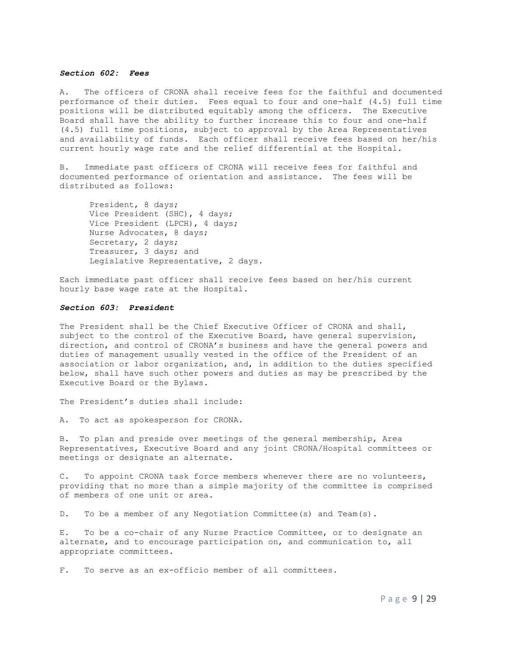#### *Section 602: Fees*

A. The officers of CRONA shall receive fees for the faithful and documented performance of their duties. Fees equal to four and one-half (4.5) full time positions will be distributed equitably among the officers. The Executive Board shall have the ability to further increase this to four and one-half (4.5) full time positions, subject to approval by the Area Representatives and availability of funds. Each officer shall receive fees based on her/his current hourly wage rate and the relief differential at the Hospital.

B. Immediate past officers of CRONA will receive fees for faithful and documented performance of orientation and assistance. The fees will be distributed as follows:

President, 8 days; Vice President (SHC), 4 days; Vice President (LPCH), 4 days; Nurse Advocates, 8 days; Secretary, 2 days; Treasurer, 3 days; and Legislative Representative, 2 days.

Each immediate past officer shall receive fees based on her/his current hourly base wage rate at the Hospital.

#### *Section 603: President*

The President shall be the Chief Executive Officer of CRONA and shall, subject to the control of the Executive Board, have general supervision, direction, and control of CRONA's business and have the general powers and duties of management usually vested in the office of the President of an association or labor organization, and, in addition to the duties specified below, shall have such other powers and duties as may be prescribed by the Executive Board or the Bylaws.

The President's duties shall include:

A. To act as spokesperson for CRONA.

B. To plan and preside over meetings of the general membership, Area Representatives, Executive Board and any joint CRONA/Hospital committees or meetings or designate an alternate.

C. To appoint CRONA task force members whenever there are no volunteers, providing that no more than a simple majority of the committee is comprised of members of one unit or area.

D. To be a member of any Negotiation Committee(s) and Team(s).

E. To be a co-chair of any Nurse Practice Committee, or to designate an alternate, and to encourage participation on, and communication to, all appropriate committees.

F. To serve as an ex-officio member of all committees.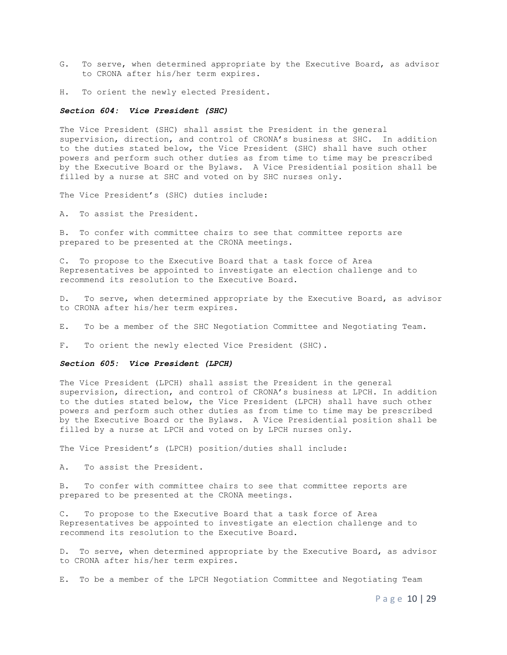- G. To serve, when determined appropriate by the Executive Board, as advisor to CRONA after his/her term expires.
- H. To orient the newly elected President.

#### *Section 604: Vice President (SHC)*

The Vice President (SHC) shall assist the President in the general supervision, direction, and control of CRONA's business at SHC. In addition to the duties stated below, the Vice President (SHC) shall have such other powers and perform such other duties as from time to time may be prescribed by the Executive Board or the Bylaws. A Vice Presidential position shall be filled by a nurse at SHC and voted on by SHC nurses only.

The Vice President's (SHC) duties include:

A. To assist the President.

B. To confer with committee chairs to see that committee reports are prepared to be presented at the CRONA meetings.

C. To propose to the Executive Board that a task force of Area Representatives be appointed to investigate an election challenge and to recommend its resolution to the Executive Board.

D. To serve, when determined appropriate by the Executive Board, as advisor to CRONA after his/her term expires.

E. To be a member of the SHC Negotiation Committee and Negotiating Team.

F. To orient the newly elected Vice President (SHC).

#### *Section 605: Vice President (LPCH)*

The Vice President (LPCH) shall assist the President in the general supervision, direction, and control of CRONA's business at LPCH. In addition to the duties stated below, the Vice President (LPCH) shall have such other powers and perform such other duties as from time to time may be prescribed by the Executive Board or the Bylaws. A Vice Presidential position shall be filled by a nurse at LPCH and voted on by LPCH nurses only.

The Vice President's (LPCH) position/duties shall include:

A. To assist the President.

B. To confer with committee chairs to see that committee reports are prepared to be presented at the CRONA meetings.

C. To propose to the Executive Board that a task force of Area Representatives be appointed to investigate an election challenge and to recommend its resolution to the Executive Board.

D. To serve, when determined appropriate by the Executive Board, as advisor to CRONA after his/her term expires.

E. To be a member of the LPCH Negotiation Committee and Negotiating Team

P a g e 10 | 29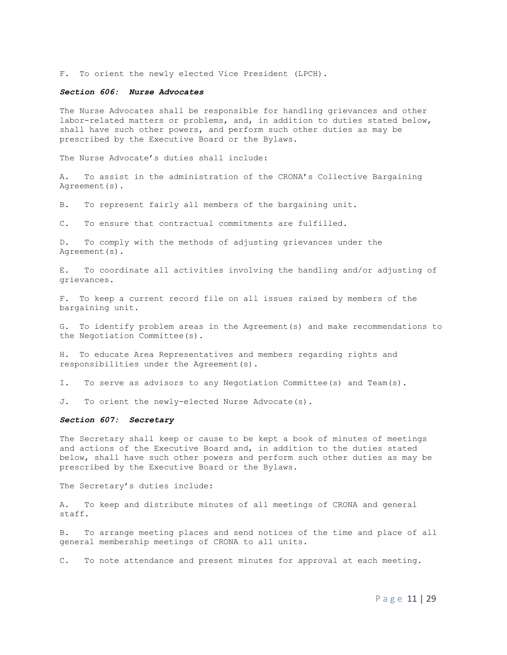F. To orient the newly elected Vice President (LPCH).

#### *Section 606: Nurse Advocates*

The Nurse Advocates shall be responsible for handling grievances and other labor-related matters or problems, and, in addition to duties stated below, shall have such other powers, and perform such other duties as may be prescribed by the Executive Board or the Bylaws.

The Nurse Advocate's duties shall include:

A. To assist in the administration of the CRONA's Collective Bargaining Agreement(s).

B. To represent fairly all members of the bargaining unit.

C. To ensure that contractual commitments are fulfilled.

D. To comply with the methods of adjusting grievances under the Agreement(s).

E. To coordinate all activities involving the handling and/or adjusting of grievances.

F. To keep a current record file on all issues raised by members of the bargaining unit.

G. To identify problem areas in the Agreement(s) and make recommendations to the Negotiation Committee(s).

H. To educate Area Representatives and members regarding rights and responsibilities under the Agreement(s).

I. To serve as advisors to any Negotiation Committee(s) and Team(s).

J. To orient the newly-elected Nurse Advocate(s).

#### *Section 607: Secretary*

The Secretary shall keep or cause to be kept a book of minutes of meetings and actions of the Executive Board and, in addition to the duties stated below, shall have such other powers and perform such other duties as may be prescribed by the Executive Board or the Bylaws.

The Secretary's duties include:

A. To keep and distribute minutes of all meetings of CRONA and general staff.

B. To arrange meeting places and send notices of the time and place of all general membership meetings of CRONA to all units.

C. To note attendance and present minutes for approval at each meeting.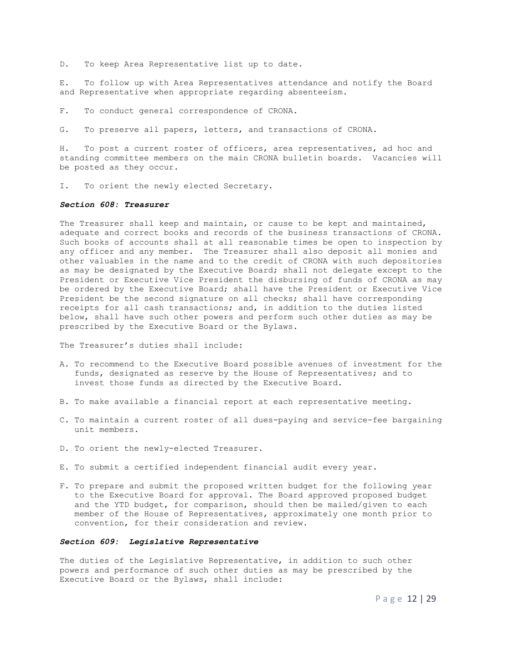D. To keep Area Representative list up to date.

E. To follow up with Area Representatives attendance and notify the Board and Representative when appropriate regarding absenteeism.

F. To conduct general correspondence of CRONA.

G. To preserve all papers, letters, and transactions of CRONA.

H. To post a current roster of officers, area representatives, ad hoc and standing committee members on the main CRONA bulletin boards. Vacancies will be posted as they occur.

I. To orient the newly elected Secretary.

#### *Section 608: Treasurer*

The Treasurer shall keep and maintain, or cause to be kept and maintained, adequate and correct books and records of the business transactions of CRONA. Such books of accounts shall at all reasonable times be open to inspection by any officer and any member. The Treasurer shall also deposit all monies and other valuables in the name and to the credit of CRONA with such depositories as may be designated by the Executive Board; shall not delegate except to the President or Executive Vice President the disbursing of funds of CRONA as may be ordered by the Executive Board; shall have the President or Executive Vice President be the second signature on all checks; shall have corresponding receipts for all cash transactions; and, in addition to the duties listed below, shall have such other powers and perform such other duties as may be prescribed by the Executive Board or the Bylaws.

The Treasurer's duties shall include:

- A. To recommend to the Executive Board possible avenues of investment for the funds, designated as reserve by the House of Representatives; and to invest those funds as directed by the Executive Board.
- B. To make available a financial report at each representative meeting.
- C. To maintain a current roster of all dues-paying and service-fee bargaining unit members.
- D. To orient the newly-elected Treasurer.
- E. To submit a certified independent financial audit every year.
- F. To prepare and submit the proposed written budget for the following year to the Executive Board for approval. The Board approved proposed budget and the YTD budget, for comparison, should then be mailed/given to each member of the House of Representatives, approximately one month prior to convention, for their consideration and review.

#### *Section 609: Legislative Representative*

The duties of the Legislative Representative, in addition to such other powers and performance of such other duties as may be prescribed by the Executive Board or the Bylaws, shall include: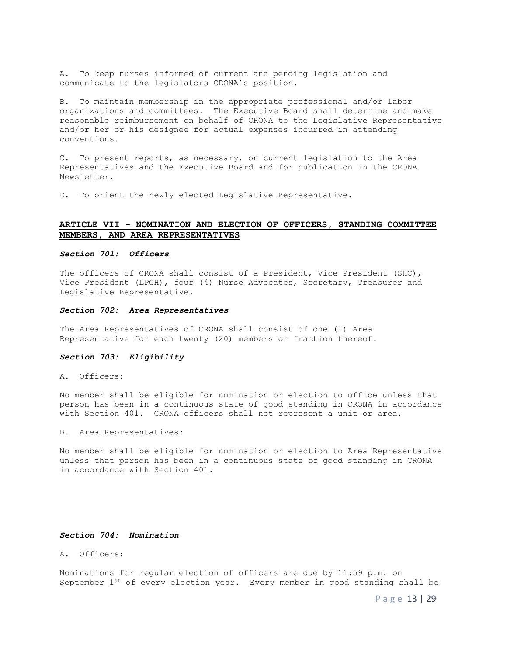A. To keep nurses informed of current and pending legislation and communicate to the legislators CRONA's position.

B. To maintain membership in the appropriate professional and/or labor organizations and committees. The Executive Board shall determine and make reasonable reimbursement on behalf of CRONA to the Legislative Representative and/or her or his designee for actual expenses incurred in attending conventions.

C. To present reports, as necessary, on current legislation to the Area Representatives and the Executive Board and for publication in the CRONA Newsletter.

D. To orient the newly elected Legislative Representative.

# **ARTICLE VII - NOMINATION AND ELECTION OF OFFICERS, STANDING COMMITTEE MEMBERS, AND AREA REPRESENTATIVES**

### *Section 701: Officers*

The officers of CRONA shall consist of a President, Vice President (SHC), Vice President (LPCH), four (4) Nurse Advocates, Secretary, Treasurer and Legislative Representative.

#### *Section 702: Area Representatives*

The Area Representatives of CRONA shall consist of one (1) Area Representative for each twenty (20) members or fraction thereof.

#### *Section 703: Eligibility*

A. Officers:

No member shall be eligible for nomination or election to office unless that person has been in a continuous state of good standing in CRONA in accordance with Section 401. CRONA officers shall not represent a unit or area.

B. Area Representatives:

No member shall be eligible for nomination or election to Area Representative unless that person has been in a continuous state of good standing in CRONA in accordance with Section 401.

#### *Section 704: Nomination*

A. Officers:

Nominations for regular election of officers are due by 11:59 p.m. on September  $1^{st}$  of every election year. Every member in good standing shall be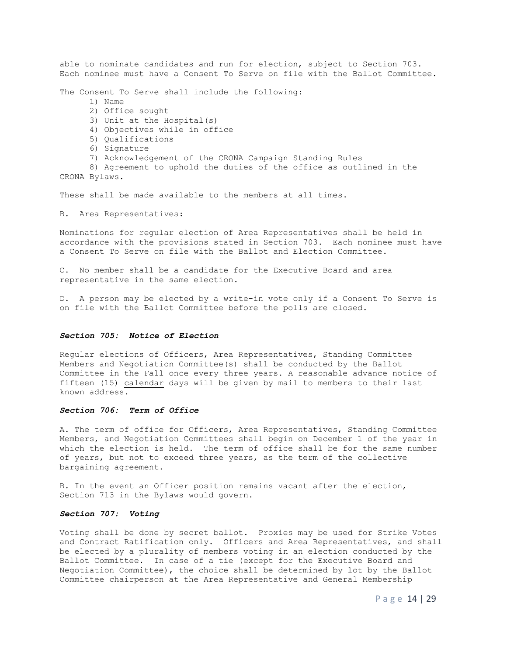able to nominate candidates and run for election, subject to Section 703. Each nominee must have a Consent To Serve on file with the Ballot Committee.

The Consent To Serve shall include the following:

- 1) Name
- 2) Office sought
- 3) Unit at the Hospital(s)
- 4) Objectives while in office
- 5) Qualifications
- 6) Signature
- 7) Acknowledgement of the CRONA Campaign Standing Rules

 8) Agreement to uphold the duties of the office as outlined in the CRONA Bylaws.

These shall be made available to the members at all times.

B. Area Representatives:

Nominations for regular election of Area Representatives shall be held in accordance with the provisions stated in Section 703. Each nominee must have a Consent To Serve on file with the Ballot and Election Committee.

C. No member shall be a candidate for the Executive Board and area representative in the same election.

D. A person may be elected by a write-in vote only if a Consent To Serve is on file with the Ballot Committee before the polls are closed.

### *Section 705: Notice of Election*

Regular elections of Officers, Area Representatives, Standing Committee Members and Negotiation Committee(s) shall be conducted by the Ballot Committee in the Fall once every three years. A reasonable advance notice of fifteen (15) calendar days will be given by mail to members to their last known address.

#### *Section 706: Term of Office*

A. The term of office for Officers, Area Representatives, Standing Committee Members, and Negotiation Committees shall begin on December 1 of the year in which the election is held. The term of office shall be for the same number of years, but not to exceed three years, as the term of the collective bargaining agreement.

B. In the event an Officer position remains vacant after the election, Section 713 in the Bylaws would govern.

#### *Section 707: Voting*

Voting shall be done by secret ballot. Proxies may be used for Strike Votes and Contract Ratification only. Officers and Area Representatives, and shall be elected by a plurality of members voting in an election conducted by the Ballot Committee. In case of a tie (except for the Executive Board and Negotiation Committee), the choice shall be determined by lot by the Ballot Committee chairperson at the Area Representative and General Membership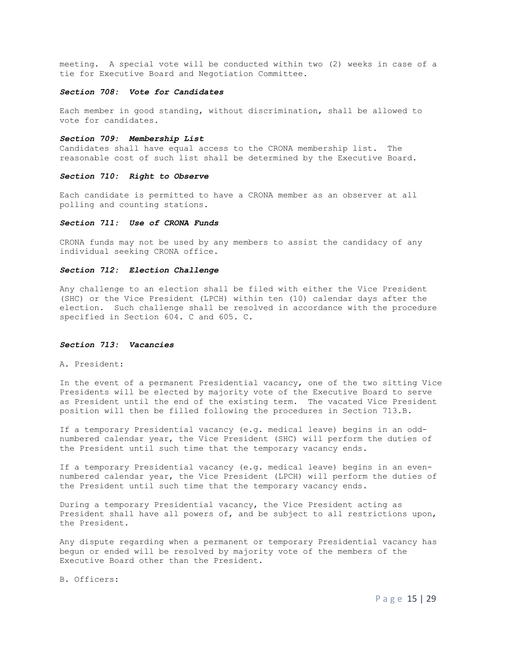meeting. A special vote will be conducted within two (2) weeks in case of a tie for Executive Board and Negotiation Committee.

#### *Section 708: Vote for Candidates*

Each member in good standing, without discrimination, shall be allowed to vote for candidates.

#### *Section 709: Membership List*

Candidates shall have equal access to the CRONA membership list. The reasonable cost of such list shall be determined by the Executive Board.

#### *Section 710: Right to Observe*

Each candidate is permitted to have a CRONA member as an observer at all polling and counting stations.

#### *Section 711: Use of CRONA Funds*

CRONA funds may not be used by any members to assist the candidacy of any individual seeking CRONA office.

### *Section 712: Election Challenge*

Any challenge to an election shall be filed with either the Vice President (SHC) or the Vice President (LPCH) within ten (10) calendar days after the election. Such challenge shall be resolved in accordance with the procedure specified in Section 604. C and 605. C.

#### *Section 713: Vacancies*

A. President:

In the event of a permanent Presidential vacancy, one of the two sitting Vice Presidents will be elected by majority vote of the Executive Board to serve as President until the end of the existing term. The vacated Vice President position will then be filled following the procedures in Section 713.B.

If a temporary Presidential vacancy (e.g. medical leave) begins in an oddnumbered calendar year, the Vice President (SHC) will perform the duties of the President until such time that the temporary vacancy ends.

If a temporary Presidential vacancy (e.g. medical leave) begins in an evennumbered calendar year, the Vice President (LPCH) will perform the duties of the President until such time that the temporary vacancy ends.

During a temporary Presidential vacancy, the Vice President acting as President shall have all powers of, and be subject to all restrictions upon, the President.

Any dispute regarding when a permanent or temporary Presidential vacancy has begun or ended will be resolved by majority vote of the members of the Executive Board other than the President.

B. Officers: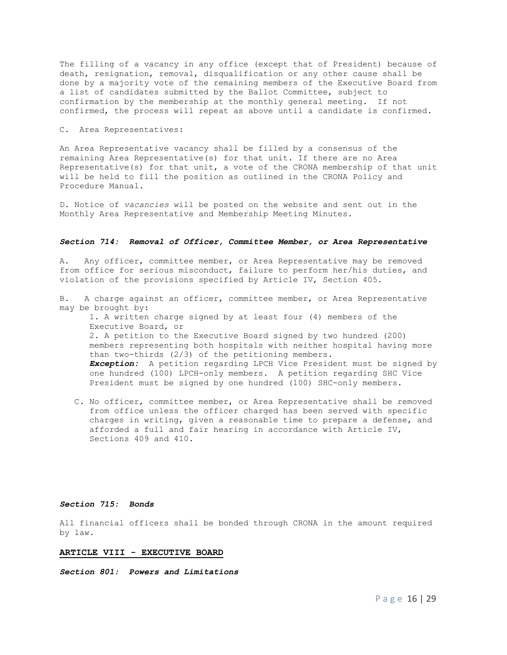The filling of a vacancy in any office (except that of President) because of death, resignation, removal, disqualification or any other cause shall be done by a majority vote of the remaining members of the Executive Board from a list of candidates submitted by the Ballot Committee, subject to confirmation by the membership at the monthly general meeting. If not confirmed, the process will repeat as above until a candidate is confirmed.

#### C. Area Representatives:

An Area Representative vacancy shall be filled by a consensus of the remaining Area Representative(s) for that unit. If there are no Area Representative(s) for that unit, a vote of the CRONA membership of that unit will be held to fill the position as outlined in the CRONA Policy and Procedure Manual.

D. Notice of *vacancies* will be posted on the website and sent out in the Monthly Area Representative and Membership Meeting Minutes.

#### *Section 714: Removal of Officer, Committee Member, or Area Representative*

A. Any officer, committee member, or Area Representative may be removed from office for serious misconduct, failure to perform her/his duties, and violation of the provisions specified by Article IV, Section 405.

B. A charge against an officer, committee member, or Area Representative may be brought by: 1. A written charge signed by at least four (4) members of the Executive Board, or 2. A petition to the Executive Board signed by two hundred (200) members representing both hospitals with neither hospital having more than two-thirds (2/3) of the petitioning members. *Exception:* A petition regarding LPCH Vice President must be signed by one hundred (100) LPCH-only members. A petition regarding SHC Vice President must be signed by one hundred (100) SHC-only members.

C. No officer, committee member, or Area Representative shall be removed from office unless the officer charged has been served with specific charges in writing, given a reasonable time to prepare a defense, and afforded a full and fair hearing in accordance with Article IV, Sections 409 and 410.

#### *Section 715: Bonds*

All financial officers shall be bonded through CRONA in the amount required by law.

#### **ARTICLE VIII - EXECUTIVE BOARD**

*Section 801: Powers and Limitations*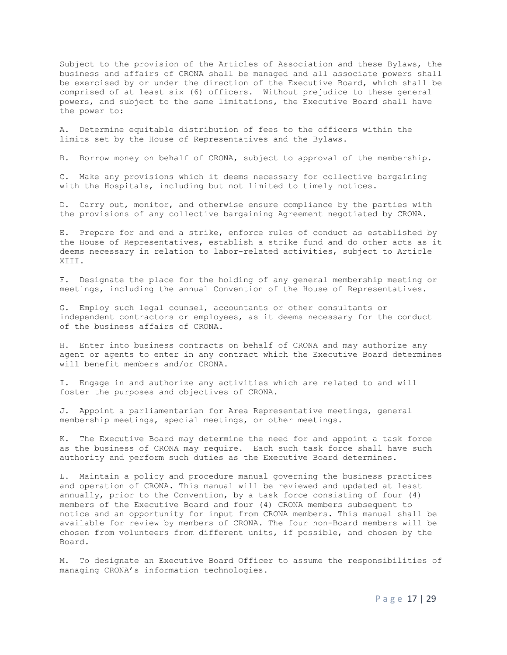Subject to the provision of the Articles of Association and these Bylaws, the business and affairs of CRONA shall be managed and all associate powers shall be exercised by or under the direction of the Executive Board, which shall be comprised of at least six (6) officers. Without prejudice to these general powers, and subject to the same limitations, the Executive Board shall have the power to:

A. Determine equitable distribution of fees to the officers within the limits set by the House of Representatives and the Bylaws.

B. Borrow money on behalf of CRONA, subject to approval of the membership.

C. Make any provisions which it deems necessary for collective bargaining with the Hospitals, including but not limited to timely notices.

D. Carry out, monitor, and otherwise ensure compliance by the parties with the provisions of any collective bargaining Agreement negotiated by CRONA.

E. Prepare for and end a strike, enforce rules of conduct as established by the House of Representatives, establish a strike fund and do other acts as it deems necessary in relation to labor-related activities, subject to Article XIII.

F. Designate the place for the holding of any general membership meeting or meetings, including the annual Convention of the House of Representatives.

G. Employ such legal counsel, accountants or other consultants or independent contractors or employees, as it deems necessary for the conduct of the business affairs of CRONA.

H. Enter into business contracts on behalf of CRONA and may authorize any agent or agents to enter in any contract which the Executive Board determines will benefit members and/or CRONA.

I. Engage in and authorize any activities which are related to and will foster the purposes and objectives of CRONA.

J. Appoint a parliamentarian for Area Representative meetings, general membership meetings, special meetings, or other meetings.

K. The Executive Board may determine the need for and appoint a task force as the business of CRONA may require. Each such task force shall have such authority and perform such duties as the Executive Board determines.

L. Maintain a policy and procedure manual governing the business practices and operation of CRONA. This manual will be reviewed and updated at least annually, prior to the Convention, by a task force consisting of four (4) members of the Executive Board and four (4) CRONA members subsequent to notice and an opportunity for input from CRONA members. This manual shall be available for review by members of CRONA. The four non-Board members will be chosen from volunteers from different units, if possible, and chosen by the Board*.*

M. To designate an Executive Board Officer to assume the responsibilities of managing CRONA's information technologies.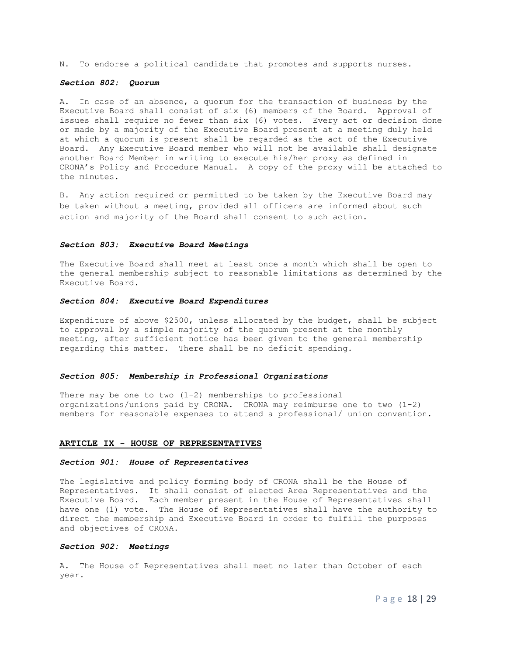N. To endorse a political candidate that promotes and supports nurses.

#### *Section 802: Quorum*

A. In case of an absence, a quorum for the transaction of business by the Executive Board shall consist of six (6) members of the Board. Approval of issues shall require no fewer than six (6) votes. Every act or decision done or made by a majority of the Executive Board present at a meeting duly held at which a quorum is present shall be regarded as the act of the Executive Board. Any Executive Board member who will not be available shall designate another Board Member in writing to execute his/her proxy as defined in CRONA's Policy and Procedure Manual. A copy of the proxy will be attached to the minutes.

B. Any action required or permitted to be taken by the Executive Board may be taken without a meeting, provided all officers are informed about such action and majority of the Board shall consent to such action.

#### *Section 803: Executive Board Meetings*

The Executive Board shall meet at least once a month which shall be open to the general membership subject to reasonable limitations as determined by the Executive Board.

#### *Section 804: Executive Board Expenditures*

Expenditure of above \$2500, unless allocated by the budget, shall be subject to approval by a simple majority of the quorum present at the monthly meeting, after sufficient notice has been given to the general membership regarding this matter. There shall be no deficit spending.

#### *Section 805: Membership in Professional Organizations*

There may be one to two  $(1-2)$  memberships to professional organizations/unions paid by CRONA. CRONA may reimburse one to two (1-2) members for reasonable expenses to attend a professional/ union convention.

#### **ARTICLE IX - HOUSE OF REPRESENTATIVES**

#### *Section 901: House of Representatives*

The legislative and policy forming body of CRONA shall be the House of Representatives. It shall consist of elected Area Representatives and the Executive Board. Each member present in the House of Representatives shall have one (1) vote. The House of Representatives shall have the authority to direct the membership and Executive Board in order to fulfill the purposes and objectives of CRONA.

#### *Section 902: Meetings*

A. The House of Representatives shall meet no later than October of each year.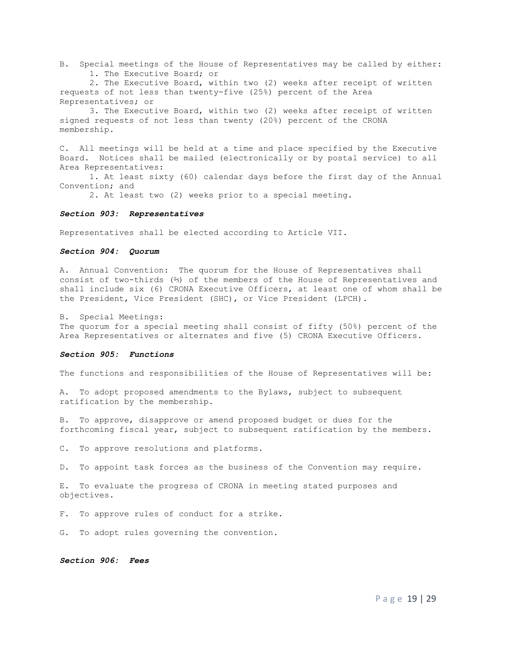B. Special meetings of the House of Representatives may be called by either: 1. The Executive Board; or

2. The Executive Board, within two (2) weeks after receipt of written requests of not less than twenty-five (25%) percent of the Area Representatives; or

3. The Executive Board, within two (2) weeks after receipt of written signed requests of not less than twenty (20%) percent of the CRONA membership.

C. All meetings will be held at a time and place specified by the Executive Board. Notices shall be mailed (electronically or by postal service) to all Area Representatives:

1. At least sixty (60) calendar days before the first day of the Annual Convention; and

2. At least two (2) weeks prior to a special meeting.

### *Section 903: Representatives*

Representatives shall be elected according to Article VII.

#### *Section 904: Quorum*

A. Annual Convention: The quorum for the House of Representatives shall consist of two-thirds (⅔) of the members of the House of Representatives and shall include six (6) CRONA Executive Officers, at least one of whom shall be the President, Vice President (SHC), or Vice President (LPCH).

B. Special Meetings:

The quorum for a special meeting shall consist of fifty (50%) percent of the Area Representatives or alternates and five (5) CRONA Executive Officers.

#### *Section 905: Functions*

The functions and responsibilities of the House of Representatives will be:

A. To adopt proposed amendments to the Bylaws, subject to subsequent ratification by the membership.

B. To approve, disapprove or amend proposed budget or dues for the forthcoming fiscal year, subject to subsequent ratification by the members.

C. To approve resolutions and platforms.

D. To appoint task forces as the business of the Convention may require.

E. To evaluate the progress of CRONA in meeting stated purposes and objectives.

F. To approve rules of conduct for a strike.

G. To adopt rules governing the convention.

*Section 906: Fees*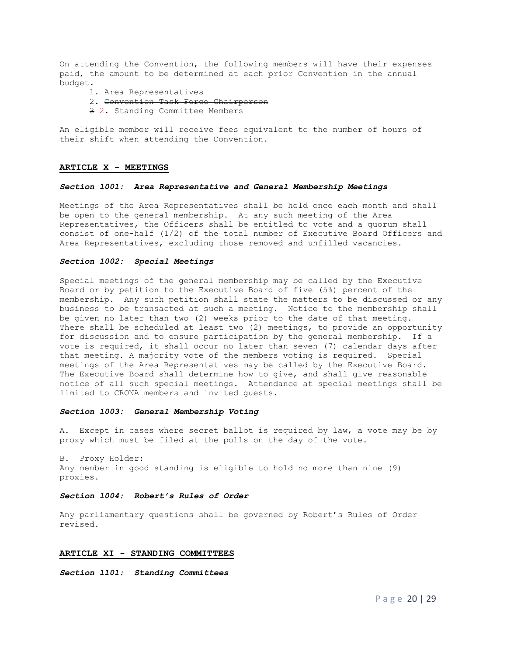On attending the Convention, the following members will have their expenses paid, the amount to be determined at each prior Convention in the annual budget.

- 1. Area Representatives
- 2. Convention Task Force Chairperson
- 3 2. Standing Committee Members

An eligible member will receive fees equivalent to the number of hours of their shift when attending the Convention.

#### **ARTICLE X - MEETINGS**

#### *Section 1001: Area Representative and General Membership Meetings*

Meetings of the Area Representatives shall be held once each month and shall be open to the general membership. At any such meeting of the Area Representatives, the Officers shall be entitled to vote and a quorum shall consist of one-half  $(1/2)$  of the total number of Executive Board Officers and Area Representatives, excluding those removed and unfilled vacancies.

#### *Section 1002: Special Meetings*

Special meetings of the general membership may be called by the Executive Board or by petition to the Executive Board of five (5%) percent of the membership. Any such petition shall state the matters to be discussed or any business to be transacted at such a meeting. Notice to the membership shall be given no later than two (2) weeks prior to the date of that meeting. There shall be scheduled at least two (2) meetings, to provide an opportunity for discussion and to ensure participation by the general membership. If a vote is required, it shall occur no later than seven (7) calendar days after that meeting. A majority vote of the members voting is required. Special meetings of the Area Representatives may be called by the Executive Board. The Executive Board shall determine how to give, and shall give reasonable notice of all such special meetings. Attendance at special meetings shall be limited to CRONA members and invited guests.

#### *Section 1003: General Membership Voting*

A. Except in cases where secret ballot is required by law, a vote may be by proxy which must be filed at the polls on the day of the vote.

B. Proxy Holder: Any member in good standing is eligible to hold no more than nine (9) proxies.

#### *Section 1004: Robert's Rules of Order*

Any parliamentary questions shall be governed by Robert's Rules of Order revised.

#### **ARTICLE XI - STANDING COMMITTEES**

*Section 1101: Standing Committees*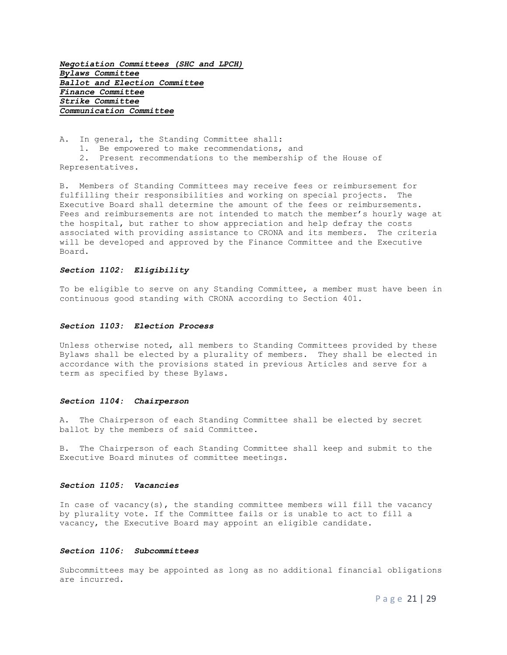*Negotiation Committees (SHC and LPCH) Bylaws Committee Ballot and Election Committee Finance Committee Strike Committee Communication Committee*

A. In general, the Standing Committee shall:

1. Be empowered to make recommendations, and

 2. Present recommendations to the membership of the House of Representatives.

B. Members of Standing Committees may receive fees or reimbursement for fulfilling their responsibilities and working on special projects. The Executive Board shall determine the amount of the fees or reimbursements. Fees and reimbursements are not intended to match the member's hourly wage at the hospital, but rather to show appreciation and help defray the costs associated with providing assistance to CRONA and its members. The criteria will be developed and approved by the Finance Committee and the Executive Board.

#### *Section 1102: Eligibility*

To be eligible to serve on any Standing Committee, a member must have been in continuous good standing with CRONA according to Section 401.

#### *Section 1103: Election Process*

Unless otherwise noted, all members to Standing Committees provided by these Bylaws shall be elected by a plurality of members. They shall be elected in accordance with the provisions stated in previous Articles and serve for a term as specified by these Bylaws.

#### *Section 1104: Chairperson*

A. The Chairperson of each Standing Committee shall be elected by secret ballot by the members of said Committee.

B. The Chairperson of each Standing Committee shall keep and submit to the Executive Board minutes of committee meetings.

#### *Section 1105: Vacancies*

In case of vacancy(s), the standing committee members will fill the vacancy by plurality vote. If the Committee fails or is unable to act to fill a vacancy, the Executive Board may appoint an eligible candidate.

#### *Section 1106: Subcommittees*

Subcommittees may be appointed as long as no additional financial obligations are incurred.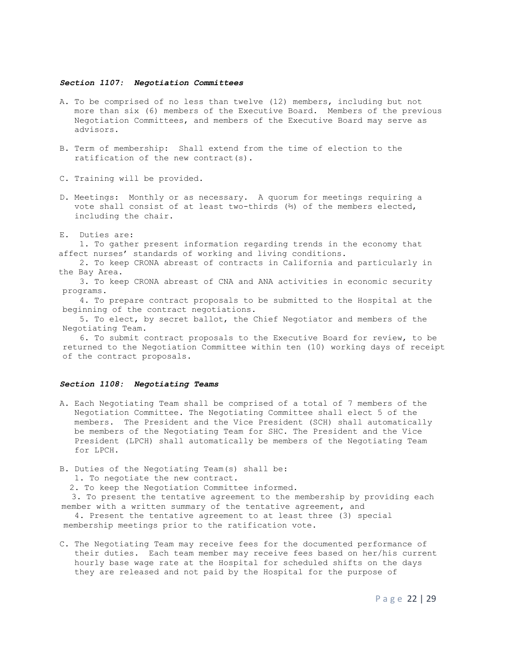#### *Section 1107: Negotiation Committees*

- A. To be comprised of no less than twelve (12) members, including but not more than six (6) members of the Executive Board. Members of the previous Negotiation Committees, and members of the Executive Board may serve as advisors.
- B. Term of membership: Shall extend from the time of election to the ratification of the new contract(s).
- C. Training will be provided.
- D. Meetings: Monthly or as necessary. A quorum for meetings requiring a vote shall consist of at least two-thirds (⅔) of the members elected, including the chair.
- E. Duties are:

 1. To gather present information regarding trends in the economy that affect nurses' standards of working and living conditions.

- 2. To keep CRONA abreast of contracts in California and particularly in the Bay Area.
- 3. To keep CRONA abreast of CNA and ANA activities in economic security programs.

 4. To prepare contract proposals to be submitted to the Hospital at the beginning of the contract negotiations.

 5. To elect, by secret ballot, the Chief Negotiator and members of the Negotiating Team.

 6. To submit contract proposals to the Executive Board for review, to be returned to the Negotiation Committee within ten (10) working days of receipt of the contract proposals.

#### *Section 1108: Negotiating Teams*

- A. Each Negotiating Team shall be comprised of a total of 7 members of the Negotiation Committee. The Negotiating Committee shall elect 5 of the members. The President and the Vice President (SCH) shall automatically be members of the Negotiating Team for SHC. The President and the Vice President (LPCH) shall automatically be members of the Negotiating Team for LPCH.
- B. Duties of the Negotiating Team(s) shall be:
	- 1. To negotiate the new contract.

2. To keep the Negotiation Committee informed.

 3. To present the tentative agreement to the membership by providing each member with a written summary of the tentative agreement, and

 4. Present the tentative agreement to at least three (3) special membership meetings prior to the ratification vote.

C. The Negotiating Team may receive fees for the documented performance of their duties. Each team member may receive fees based on her/his current hourly base wage rate at the Hospital for scheduled shifts on the days they are released and not paid by the Hospital for the purpose of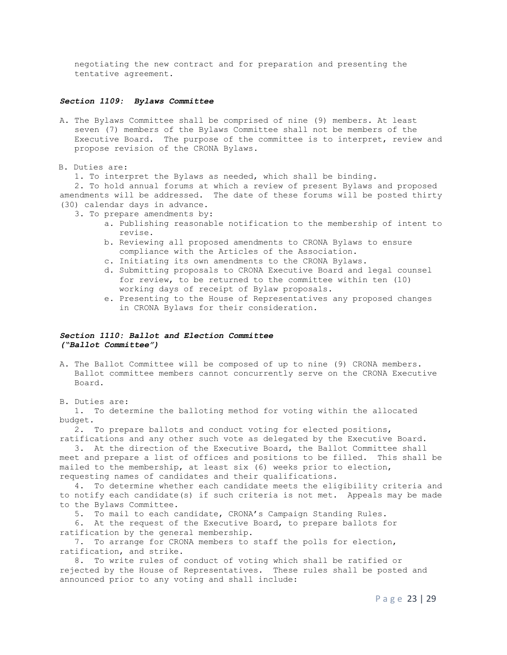negotiating the new contract and for preparation and presenting the tentative agreement.

#### *Section 1109: Bylaws Committee*

A. The Bylaws Committee shall be comprised of nine (9) members. At least seven (7) members of the Bylaws Committee shall not be members of the Executive Board. The purpose of the committee is to interpret, review and propose revision of the CRONA Bylaws.

#### B. Duties are:

1**.** To interpret the Bylaws as needed, which shall be binding.

 2. To hold annual forums at which a review of present Bylaws and proposed amendments will be addressed. The date of these forums will be posted thirty (30) calendar days in advance.

- 3. To prepare amendments by:
	- a. Publishing reasonable notification to the membership of intent to revise.
	- b. Reviewing all proposed amendments to CRONA Bylaws to ensure compliance with the Articles of the Association.
	- c. Initiating its own amendments to the CRONA Bylaws.
	- d. Submitting proposals to CRONA Executive Board and legal counsel for review, to be returned to the committee within ten (10) working days of receipt of Bylaw proposals.
	- e. Presenting to the House of Representatives any proposed changes in CRONA Bylaws for their consideration.

### *Section 1110: Ballot and Election Committee ("Ballot Committee")*

A. The Ballot Committee will be composed of up to nine (9) CRONA members. Ballot committee members cannot concurrently serve on the CRONA Executive Board.

B. Duties are:

 1. To determine the balloting method for voting within the allocated budget.

 2. To prepare ballots and conduct voting for elected positions, ratifications and any other such vote as delegated by the Executive Board.

 3. At the direction of the Executive Board, the Ballot Committee shall meet and prepare a list of offices and positions to be filled. This shall be mailed to the membership, at least six (6) weeks prior to election, requesting names of candidates and their qualifications.

 4. To determine whether each candidate meets the eligibility criteria and to notify each candidate(s) if such criteria is not met. Appeals may be made to the Bylaws Committee.

5. To mail to each candidate, CRONA's Campaign Standing Rules.

 6. At the request of the Executive Board, to prepare ballots for ratification by the general membership.

 7. To arrange for CRONA members to staff the polls for election, ratification, and strike.

 8. To write rules of conduct of voting which shall be ratified or rejected by the House of Representatives. These rules shall be posted and announced prior to any voting and shall include: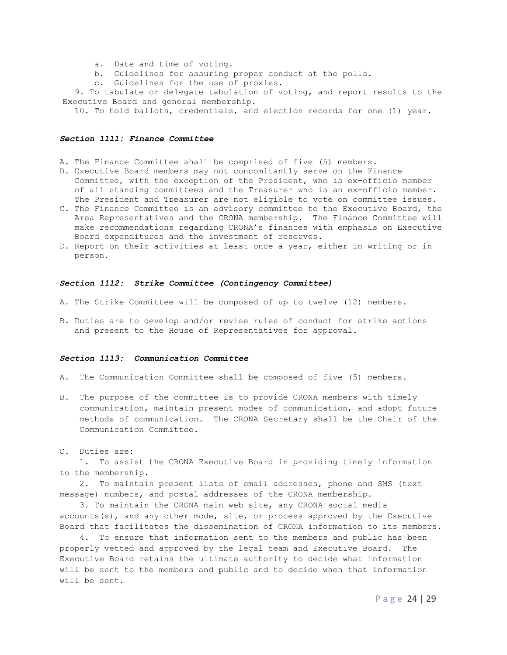- a. Date and time of voting.
- b. Guidelines for assuring proper conduct at the polls.
- c. Guidelines for the use of proxies.

 9. To tabulate or delegate tabulation of voting, and report results to the Executive Board and general membership.

10. To hold ballots, credentials, and election records for one (1) year.

#### *Section 1111: Finance Committee*

- A. The Finance Committee shall be comprised of five (5) members.
- B. Executive Board members may not concomitantly serve on the Finance Committee, with the exception of the President, who is ex-officio member of all standing committees and the Treasurer who is an ex-officio member. The President and Treasurer are not eligible to vote on committee issues.
- C. The Finance Committee is an advisory committee to the Executive Board, the Area Representatives and the CRONA membership. The Finance Committee will make recommendations regarding CRONA's finances with emphasis on Executive Board expenditures and the investment of reserves.
- D. Report on their activities at least once a year, either in writing or in person.

#### *Section 1112: Strike Committee (Contingency Committee)*

- A. The Strike Committee will be composed of up to twelve (12) members.
- B. Duties are to develop and/or revise rules of conduct for strike actions and present to the House of Representatives for approval.

#### *Section 1113: Communication Committee*

- A. The Communication Committee shall be composed of five (5) members.
- B. The purpose of the committee is to provide CRONA members with timely communication, maintain present modes of communication, and adopt future methods of communication. The CRONA Secretary shall be the Chair of the Communication Committee.

C. Duties are:

 1. To assist the CRONA Executive Board in providing timely information to the membership.

 2. To maintain present lists of email addresses, phone and SMS (text message) numbers, and postal addresses of the CRONA membership.

 3. To maintain the CRONA main web site, any CRONA social media accounts(s), and any other mode, site, or process approved by the Executive Board that facilitates the dissemination of CRONA information to its members.

 4. To ensure that information sent to the members and public has been properly vetted and approved by the legal team and Executive Board. The Executive Board retains the ultimate authority to decide what information will be sent to the members and public and to decide when that information will be sent.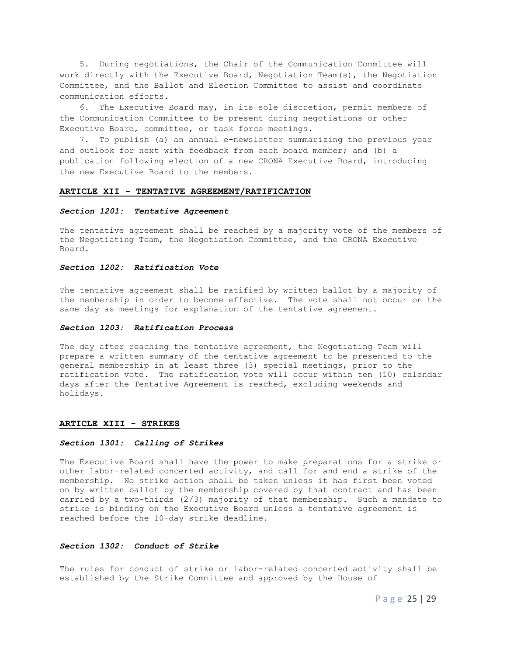5. During negotiations, the Chair of the Communication Committee will work directly with the Executive Board, Negotiation Team(s), the Negotiation Committee, and the Ballot and Election Committee to assist and coordinate communication efforts.

 6. The Executive Board may, in its sole discretion, permit members of the Communication Committee to be present during negotiations or other Executive Board, committee, or task force meetings.

 7. To publish (a) an annual e-newsletter summarizing the previous year and outlook for next with feedback from each board member; and (b) a publication following election of a new CRONA Executive Board, introducing the new Executive Board to the members.

#### **ARTICLE XII - TENTATIVE AGREEMENT/RATIFICATION**

#### *Section 1201: Tentative Agreement*

The tentative agreement shall be reached by a majority vote of the members of the Negotiating Team, the Negotiation Committee, and the CRONA Executive Board.

#### *Section 1202: Ratification Vote*

The tentative agreement shall be ratified by written ballot by a majority of the membership in order to become effective. The vote shall not occur on the same day as meetings for explanation of the tentative agreement.

#### *Section 1203: Ratification Process*

The day after reaching the tentative agreement, the Negotiating Team will prepare a written summary of the tentative agreement to be presented to the general membership in at least three (3) special meetings, prior to the ratification vote. The ratification vote will occur within ten (10) calendar days after the Tentative Agreement is reached, excluding weekends and holidays.

#### **ARTICLE XIII - STRIKES**

#### *Section 1301: Calling of Strikes*

The Executive Board shall have the power to make preparations for a strike or other labor-related concerted activity, and call for and end a strike of the membership. No strike action shall be taken unless it has first been voted on by written ballot by the membership covered by that contract and has been carried by a two-thirds (2/3) majority of that membership. Such a mandate to strike is binding on the Executive Board unless a tentative agreement is reached before the 10-day strike deadline.

#### *Section 1302: Conduct of Strike*

The rules for conduct of strike or labor-related concerted activity shall be established by the Strike Committee and approved by the House of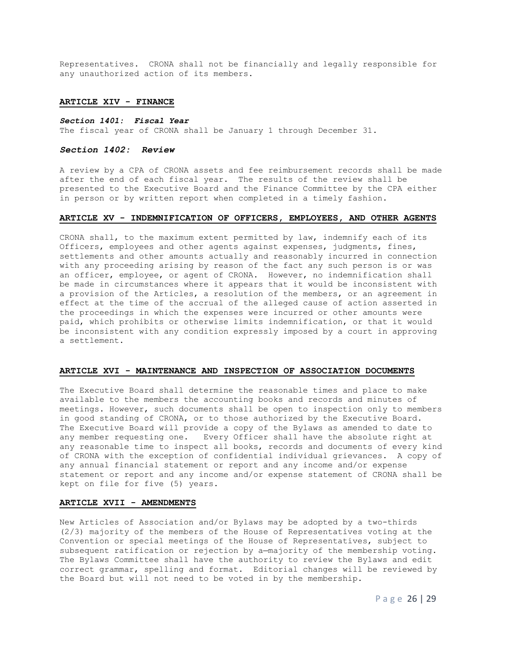Representatives. CRONA shall not be financially and legally responsible for any unauthorized action of its members.

#### **ARTICLE XIV - FINANCE**

#### *Section 1401: Fiscal Year*

The fiscal year of CRONA shall be January 1 through December 31.

#### *Section 1402: Review*

A review by a CPA of CRONA assets and fee reimbursement records shall be made after the end of each fiscal year. The results of the review shall be presented to the Executive Board and the Finance Committee by the CPA either in person or by written report when completed in a timely fashion.

#### **ARTICLE XV - INDEMNIFICATION OF OFFICERS, EMPLOYEES, AND OTHER AGENTS**

CRONA shall, to the maximum extent permitted by law, indemnify each of its Officers, employees and other agents against expenses, judgments, fines, settlements and other amounts actually and reasonably incurred in connection with any proceeding arising by reason of the fact any such person is or was an officer, employee, or agent of CRONA. However, no indemnification shall be made in circumstances where it appears that it would be inconsistent with a provision of the Articles, a resolution of the members, or an agreement in effect at the time of the accrual of the alleged cause of action asserted in the proceedings in which the expenses were incurred or other amounts were paid, which prohibits or otherwise limits indemnification, or that it would be inconsistent with any condition expressly imposed by a court in approving a settlement.

#### **ARTICLE XVI - MAINTENANCE AND INSPECTION OF ASSOCIATION DOCUMENTS**

The Executive Board shall determine the reasonable times and place to make available to the members the accounting books and records and minutes of meetings. However, such documents shall be open to inspection only to members in good standing of CRONA, or to those authorized by the Executive Board. The Executive Board will provide a copy of the Bylaws as amended to date to any member requesting one. Every Officer shall have the absolute right at any reasonable time to inspect all books, records and documents of every kind of CRONA with the exception of confidential individual grievances. A copy of any annual financial statement or report and any income and/or expense statement or report and any income and/or expense statement of CRONA shall be kept on file for five (5) years.

#### **ARTICLE XVII - AMENDMENTS**

New Articles of Association and/or Bylaws may be adopted by a two-thirds (2/3) majority of the members of the House of Representatives voting at the Convention or special meetings of the House of Representatives, subject to subsequent ratification or rejection by a-majority of the membership voting. The Bylaws Committee shall have the authority to review the Bylaws and edit correct grammar, spelling and format. Editorial changes will be reviewed by the Board but will not need to be voted in by the membership.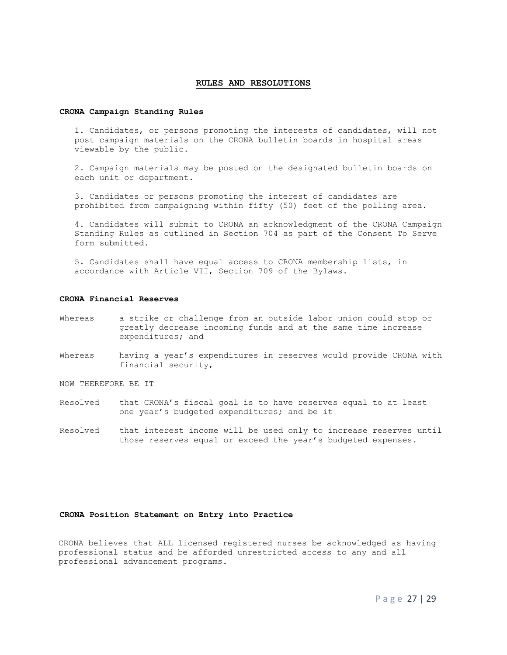#### **RULES AND RESOLUTIONS**

#### **CRONA Campaign Standing Rules**

1. Candidates, or persons promoting the interests of candidates, will not post campaign materials on the CRONA bulletin boards in hospital areas viewable by the public.

2. Campaign materials may be posted on the designated bulletin boards on each unit or department.

3. Candidates or persons promoting the interest of candidates are prohibited from campaigning within fifty (50) feet of the polling area.

4. Candidates will submit to CRONA an acknowledgment of the CRONA Campaign Standing Rules as outlined in Section 704 as part of the Consent To Serve form submitted.

5. Candidates shall have equal access to CRONA membership lists, in accordance with Article VII, Section 709 of the Bylaws.

#### **CRONA Financial Reserves**

- Whereas a strike or challenge from an outside labor union could stop or greatly decrease incoming funds and at the same time increase expenditures; and
- Whereas having a year's expenditures in reserves would provide CRONA with financial security,

NOW THEREFORE BE IT

- Resolved that CRONA's fiscal goal is to have reserves equal to at least one year's budgeted expenditures; and be it
- Resolved that interest income will be used only to increase reserves until those reserves equal or exceed the year's budgeted expenses.

#### **CRONA Position Statement on Entry into Practice**

 CRONA believes that ALL licensed registered nurses be acknowledged as having professional status and be afforded unrestricted access to any and all professional advancement programs.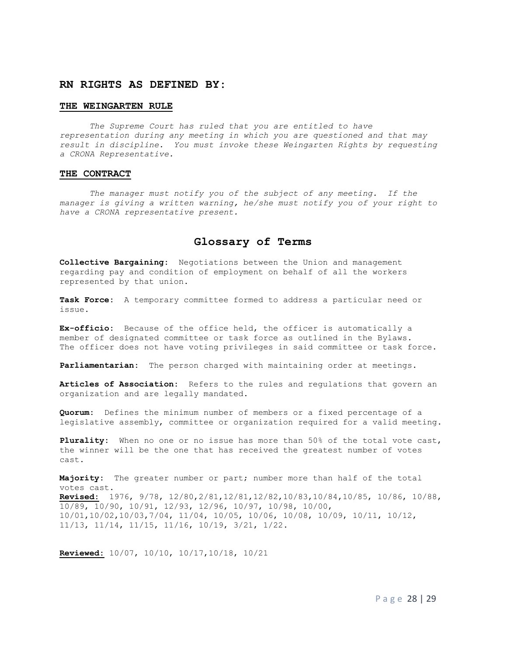### **RN RIGHTS AS DEFINED BY:**

#### **THE WEINGARTEN RULE**

*The Supreme Court has ruled that you are entitled to have representation during any meeting in which you are questioned and that may result in discipline. You must invoke these Weingarten Rights by requesting a CRONA Representative.*

#### **THE CONTRACT**

*The manager must notify you of the subject of any meeting. If the manager is giving a written warning, he/she must notify you of your right to have a CRONA representative present.*

# **Glossary of Terms**

**Collective Bargaining:** Negotiations between the Union and management regarding pay and condition of employment on behalf of all the workers represented by that union.

**Task Force:** A temporary committee formed to address a particular need or issue.

**Ex-officio:** Because of the office held, the officer is automatically a member of designated committee or task force as outlined in the Bylaws. The officer does not have voting privileges in said committee or task force.

**Parliamentarian:** The person charged with maintaining order at meetings.

**Articles of Association:** Refers to the rules and regulations that govern an organization and are legally mandated.

**Quorum:** Defines the minimum number of members or a fixed percentage of a legislative assembly, committee or organization required for a valid meeting.

**Plurality:** When no one or no issue has more than 50% of the total vote cast, the winner will be the one that has received the greatest number of votes cast.

**Majority:** The greater number or part; number more than half of the total votes cast. **Revised:** 1976, 9/78, 12/80,2/81,12/81,12/82,10/83,10/84,10/85, 10/86, 10/88, 10/89, 10/90, 10/91, 12/93, 12/96, 10/97, 10/98, 10/00, 10/01,10/02,10/03,7/04, 11/04, 10/05, 10/06, 10/08, 10/09, 10/11, 10/12, 11/13, 11/14, 11/15, 11/16, 10/19, 3/21, 1/22.

**Reviewed:** 10/07, 10/10, 10/17,10/18, 10/21